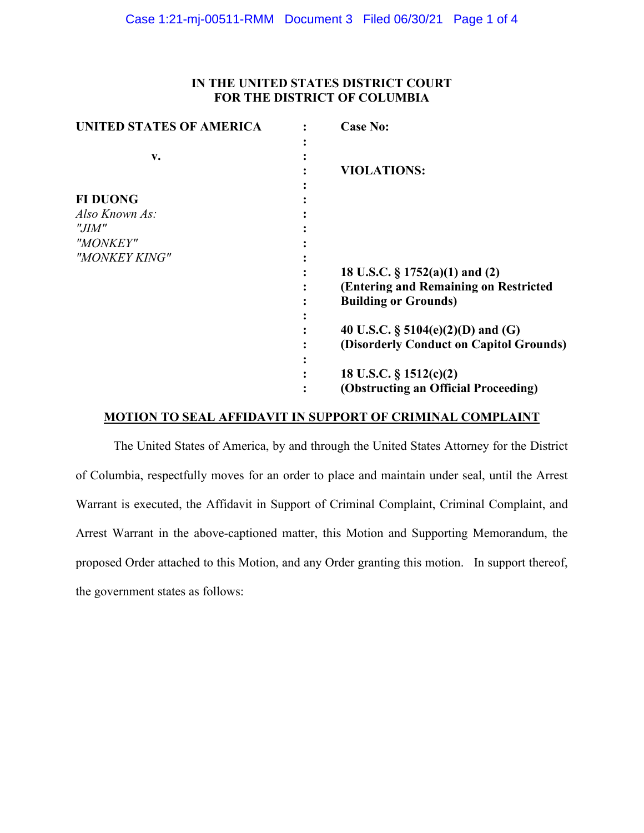## **IN THE UNITED STATES DISTRICT COURT FOR THE DISTRICT OF COLUMBIA**

| <b>UNITED STATES OF AMERICA</b> | <b>Case No:</b>                         |
|---------------------------------|-----------------------------------------|
|                                 |                                         |
| v.                              |                                         |
|                                 | <b>VIOLATIONS:</b>                      |
|                                 |                                         |
| <b>FI DUONG</b>                 |                                         |
| Also Known As:                  |                                         |
| "JIM"                           |                                         |
| "MONKEY"                        |                                         |
| "MONKEY KING"                   |                                         |
|                                 | 18 U.S.C. $\S 1752(a)(1)$ and (2)       |
|                                 | (Entering and Remaining on Restricted   |
|                                 | <b>Building or Grounds)</b>             |
|                                 |                                         |
|                                 | 40 U.S.C. $\S$ 5104(e)(2)(D) and (G)    |
|                                 | (Disorderly Conduct on Capitol Grounds) |
|                                 |                                         |
|                                 | 18 U.S.C. $\S$ 1512(c)(2)               |
|                                 | (Obstructing an Official Proceeding)    |

## **MOTION TO SEAL AFFIDAVIT IN SUPPORT OF CRIMINAL COMPLAINT**

The United States of America, by and through the United States Attorney for the District of Columbia, respectfully moves for an order to place and maintain under seal, until the Arrest Warrant is executed, the Affidavit in Support of Criminal Complaint, Criminal Complaint, and Arrest Warrant in the above-captioned matter, this Motion and Supporting Memorandum, the proposed Order attached to this Motion, and any Order granting this motion. In support thereof, the government states as follows: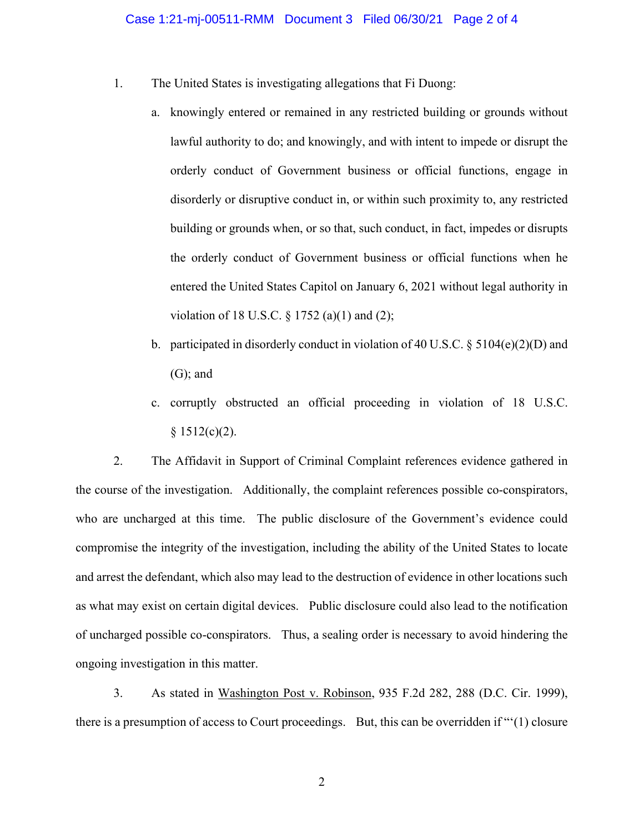- 1. The United States is investigating allegations that Fi Duong:
	- a. knowingly entered or remained in any restricted building or grounds without lawful authority to do; and knowingly, and with intent to impede or disrupt the orderly conduct of Government business or official functions, engage in disorderly or disruptive conduct in, or within such proximity to, any restricted building or grounds when, or so that, such conduct, in fact, impedes or disrupts the orderly conduct of Government business or official functions when he entered the United States Capitol on January 6, 2021 without legal authority in violation of 18 U.S.C. § 1752 (a)(1) and (2);
	- b. participated in disorderly conduct in violation of 40 U.S.C.  $\S 5104(e)(2)(D)$  and (G); and
	- c. corruptly obstructed an official proceeding in violation of 18 U.S.C.  $§ 1512(c)(2).$

2. The Affidavit in Support of Criminal Complaint references evidence gathered in the course of the investigation. Additionally, the complaint references possible co-conspirators, who are uncharged at this time. The public disclosure of the Government's evidence could compromise the integrity of the investigation, including the ability of the United States to locate and arrest the defendant, which also may lead to the destruction of evidence in other locations such as what may exist on certain digital devices. Public disclosure could also lead to the notification of uncharged possible co-conspirators. Thus, a sealing order is necessary to avoid hindering the ongoing investigation in this matter.

3. As stated in Washington Post v. Robinson, 935 F.2d 282, 288 (D.C. Cir. 1999), there is a presumption of access to Court proceedings. But, this can be overridden if "'(1) closure

2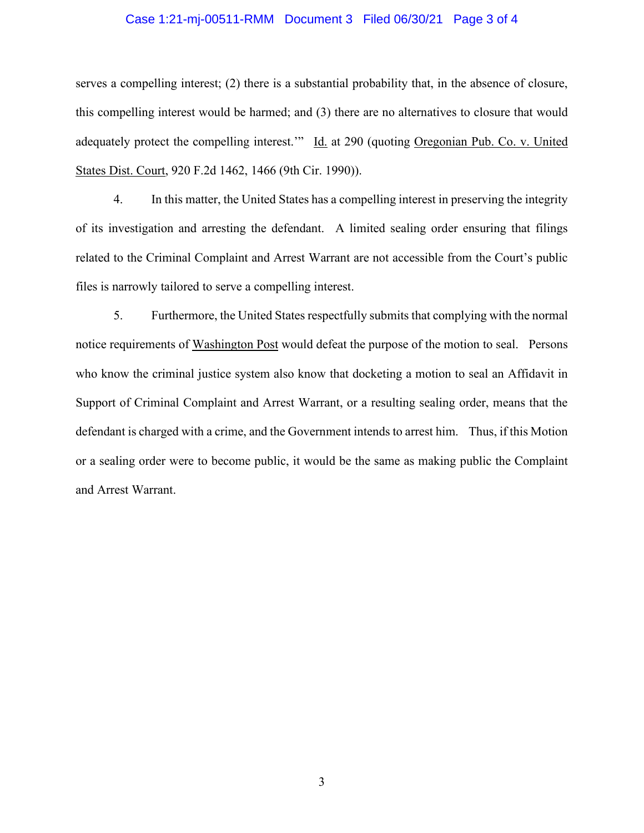#### Case 1:21-mj-00511-RMM Document 3 Filed 06/30/21 Page 3 of 4

serves a compelling interest; (2) there is a substantial probability that, in the absence of closure, this compelling interest would be harmed; and (3) there are no alternatives to closure that would adequately protect the compelling interest.'" Id. at 290 (quoting Oregonian Pub. Co. v. United States Dist. Court, 920 F.2d 1462, 1466 (9th Cir. 1990)).

4. In this matter, the United States has a compelling interest in preserving the integrity of its investigation and arresting the defendant. A limited sealing order ensuring that filings related to the Criminal Complaint and Arrest Warrant are not accessible from the Court's public files is narrowly tailored to serve a compelling interest.

5. Furthermore, the United States respectfully submits that complying with the normal notice requirements of Washington Post would defeat the purpose of the motion to seal. Persons who know the criminal justice system also know that docketing a motion to seal an Affidavit in Support of Criminal Complaint and Arrest Warrant, or a resulting sealing order, means that the defendant is charged with a crime, and the Government intends to arrest him. Thus, if this Motion or a sealing order were to become public, it would be the same as making public the Complaint and Arrest Warrant.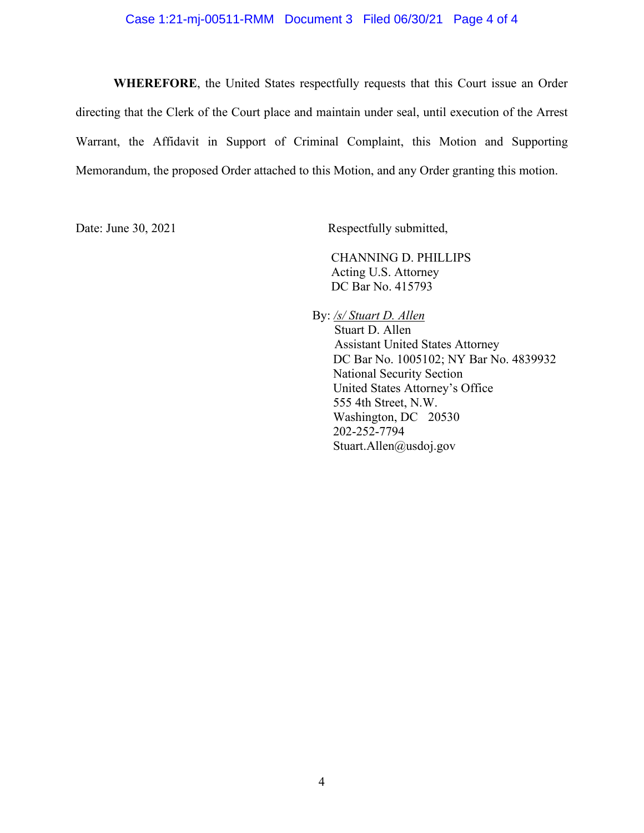### Case 1:21-mj-00511-RMM Document 3 Filed 06/30/21 Page 4 of 4

**WHEREFORE**, the United States respectfully requests that this Court issue an Order directing that the Clerk of the Court place and maintain under seal, until execution of the Arrest Warrant, the Affidavit in Support of Criminal Complaint, this Motion and Supporting Memorandum, the proposed Order attached to this Motion, and any Order granting this motion.

Date: June 30, 2021 Respectfully submitted,

CHANNING D. PHILLIPS Acting U.S. Attorney DC Bar No. 415793

By: */s/ Stuart D. Allen* Stuart D. Allen Assistant United States Attorney DC Bar No. 1005102; NY Bar No. 4839932 National Security Section United States Attorney's Office 555 4th Street, N.W. Washington, DC 20530 202-252-7794 Stuart.Allen@usdoj.gov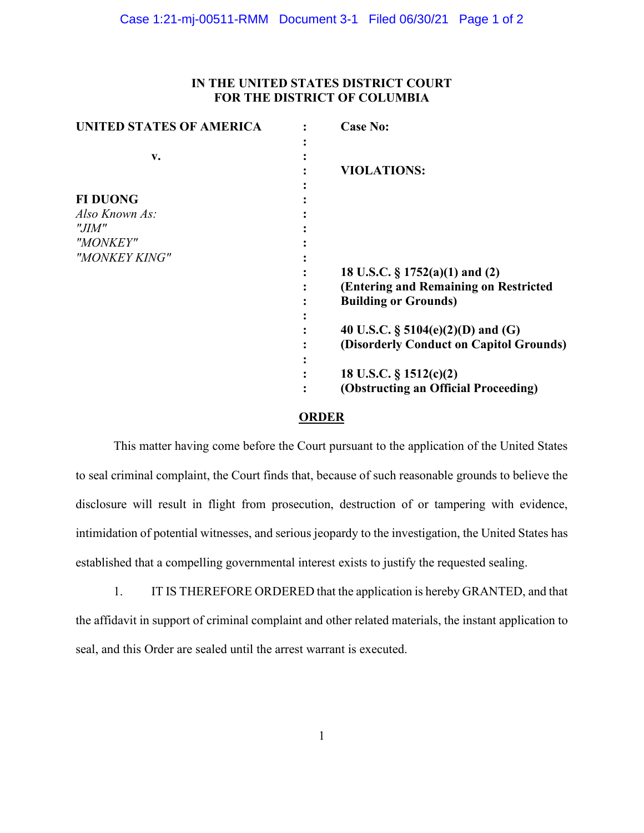## **IN THE UNITED STATES DISTRICT COURT FOR THE DISTRICT OF COLUMBIA**

| <b>UNITED STATES OF AMERICA</b> | <b>Case No:</b>                         |
|---------------------------------|-----------------------------------------|
|                                 |                                         |
| v.                              |                                         |
|                                 | <b>VIOLATIONS:</b>                      |
|                                 |                                         |
| <b>FI DUONG</b>                 |                                         |
| Also Known As:                  |                                         |
| "JIM"                           |                                         |
| "MONKEY"                        |                                         |
| "MONKEY KING"                   |                                         |
|                                 | 18 U.S.C. $\S 1752(a)(1)$ and (2)       |
|                                 |                                         |
|                                 | (Entering and Remaining on Restricted   |
|                                 | <b>Building or Grounds)</b>             |
|                                 |                                         |
|                                 | 40 U.S.C. $\S$ 5104(e)(2)(D) and (G)    |
|                                 | (Disorderly Conduct on Capitol Grounds) |
|                                 |                                         |
|                                 | 18 U.S.C. § 1512(c)(2)                  |
|                                 | (Obstructing an Official Proceeding)    |
|                                 |                                         |

### **ORDER**

This matter having come before the Court pursuant to the application of the United States to seal criminal complaint, the Court finds that, because of such reasonable grounds to believe the disclosure will result in flight from prosecution, destruction of or tampering with evidence, intimidation of potential witnesses, and serious jeopardy to the investigation, the United States has established that a compelling governmental interest exists to justify the requested sealing.

1. IT IS THEREFORE ORDERED that the application is hereby GRANTED, and that the affidavit in support of criminal complaint and other related materials, the instant application to seal, and this Order are sealed until the arrest warrant is executed.